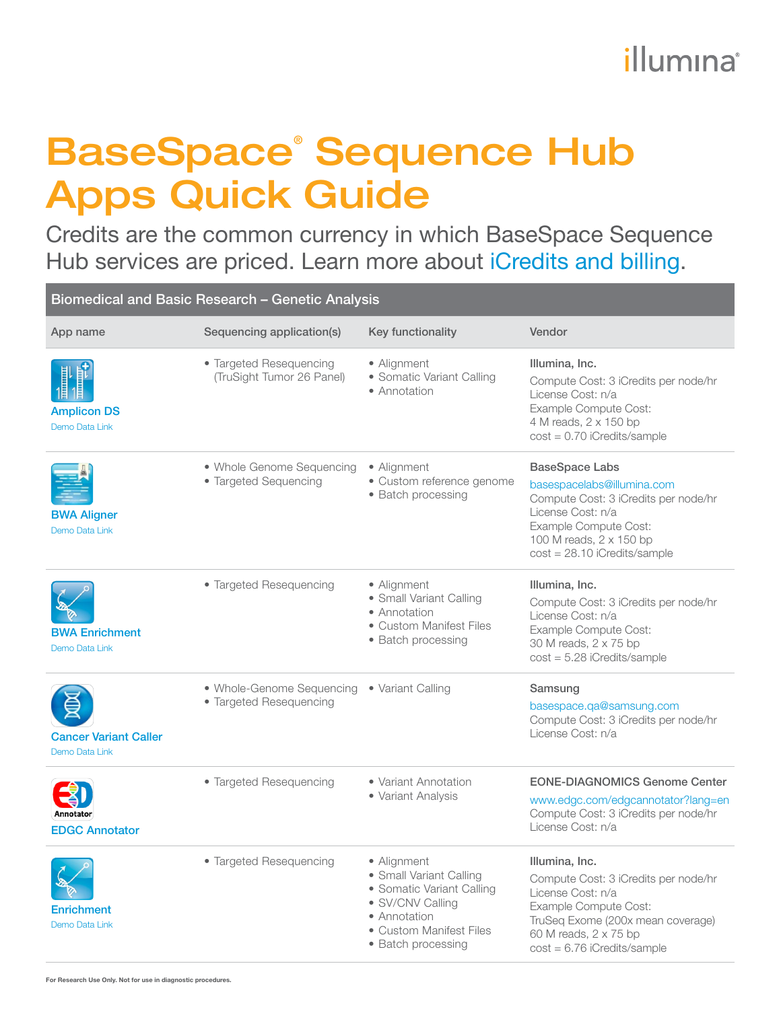## illumına

## BaseSpace® Sequence Hub Apps Quick Guide

Credits are the common currency in which BaseSpace Sequence Hub services are priced. Learn more about [iCredits and billing](https://help.basespace.illumina.com/articles/descriptive/icredits-and-billing/#icredit-conversion]).

| Biomedical and Basic Research - Genetic Analysis |                                                      |                                                                                                                                                          |                                                                                                                                                                                                        |  |
|--------------------------------------------------|------------------------------------------------------|----------------------------------------------------------------------------------------------------------------------------------------------------------|--------------------------------------------------------------------------------------------------------------------------------------------------------------------------------------------------------|--|
| App name                                         | Sequencing application(s)                            | <b>Key functionality</b>                                                                                                                                 | Vendor                                                                                                                                                                                                 |  |
| <b>Amplicon DS</b><br>Demo Data Link             | • Targeted Resequencing<br>(TruSight Tumor 26 Panel) | • Alignment<br>• Somatic Variant Calling<br>• Annotation                                                                                                 | Illumina, Inc.<br>Compute Cost: 3 iCredits per node/hr<br>License Cost: n/a<br>Example Compute Cost:<br>4 M reads, 2 x 150 bp<br>$cost = 0.70$ iCredits/sample                                         |  |
| <b>BWA Aligner</b><br><b>Demo Data Link</b>      | • Whole Genome Sequencing<br>• Targeted Sequencing   | • Alignment<br>• Custom reference genome<br>• Batch processing                                                                                           | <b>BaseSpace Labs</b><br>basespacelabs@illumina.com<br>Compute Cost: 3 iCredits per node/hr<br>License Cost: n/a<br>Example Compute Cost:<br>100 M reads, 2 x 150 bp<br>$cost = 28.10$ iCredits/sample |  |
| <b>BWA Enrichment</b><br>Demo Data Link          | • Targeted Resequencing                              | • Alignment<br>· Small Variant Calling<br>• Annotation<br>• Custom Manifest Files<br>• Batch processing                                                  | Illumina, Inc.<br>Compute Cost: 3 iCredits per node/hr<br>License Cost: n/a<br>Example Compute Cost:<br>30 M reads, 2 x 75 bp<br>$cost = 5.28$ iCredits/sample                                         |  |
| <b>Cancer Variant Caller</b><br>Demo Data Link   | • Whole-Genome Sequencing<br>• Targeted Resequencing | • Variant Calling                                                                                                                                        | Samsung<br>basespace.qa@samsung.com<br>Compute Cost: 3 iCredits per node/hr<br>License Cost: n/a                                                                                                       |  |
| Annotator<br><b>EDGC Annotator</b>               | • Targeted Resequencing                              | • Variant Annotation<br>• Variant Analysis                                                                                                               | <b>EONE-DIAGNOMICS Genome Center</b><br>www.edgc.com/edgcannotator?lang=en<br>Compute Cost: 3 iCredits per node/hr<br>License Cost: n/a                                                                |  |
| <b>Enrichment</b><br>Demo Data Link              | • Targeted Resequencing                              | • Alignment<br>• Small Variant Calling<br>• Somatic Variant Calling<br>• SV/CNV Calling<br>• Annotation<br>• Custom Manifest Files<br>• Batch processing | Illumina, Inc.<br>Compute Cost: 3 iCredits per node/hr<br>License Cost: n/a<br>Example Compute Cost:<br>TruSeq Exome (200x mean coverage)<br>60 M reads, 2 x 75 bp<br>$cost = 6.76$ iCredits/sample    |  |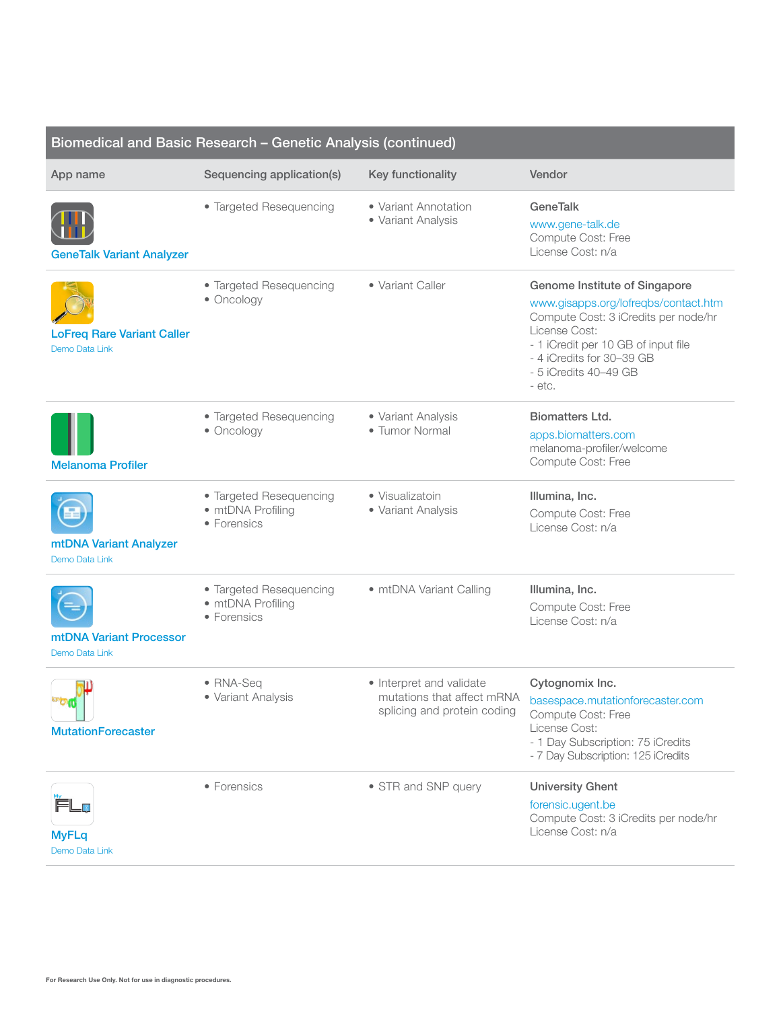| Biomedical and Basic Research - Genetic Analysis (continued) |                                                             |                                                         |                                                                                                                                                                                                                                       |  |
|--------------------------------------------------------------|-------------------------------------------------------------|---------------------------------------------------------|---------------------------------------------------------------------------------------------------------------------------------------------------------------------------------------------------------------------------------------|--|
| App name                                                     | Sequencing application(s)                                   | Key functionality                                       | Vendor                                                                                                                                                                                                                                |  |
| <b>GeneTalk Variant Analyzer</b>                             | • Targeted Resequencing                                     | • Variant Annotation<br>• Variant Analysis              | <b>GeneTalk</b><br>www.gene-talk.de<br>Compute Cost: Free<br>License Cost: n/a                                                                                                                                                        |  |
| <b>LoFreq Rare Variant Caller</b><br><b>Demo Data Link</b>   | • Targeted Resequencing<br>• Oncology                       | • Variant Caller                                        | Genome Institute of Singapore<br>www.gisapps.org/lofreqbs/contact.htm<br>Compute Cost: 3 iCredits per node/hr<br>License Cost:<br>- 1 iCredit per 10 GB of input file<br>- 4 iCredits for 30-39 GB<br>- 5 iCredits 40-49 GB<br>- etc. |  |
| <b>Melanoma Profiler</b>                                     | • Targeted Resequencing<br>• Oncology                       | • Variant Analysis<br>• Tumor Normal                    | <b>Biomatters Ltd.</b><br>apps.biomatters.com<br>melanoma-profiler/welcome<br>Compute Cost: Free                                                                                                                                      |  |
| mtDNA Variant Analyzer<br><b>Demo Data Link</b>              | • Targeted Resequencing<br>• mtDNA Profiling<br>• Forensics | • Visualizatoin<br>• Variant Analysis                   | Illumina, Inc.<br>Compute Cost: Free<br>License Cost: n/a                                                                                                                                                                             |  |
| mtDNA Variant Processor<br>Demo Data Link                    | • Targeted Resequencing<br>• mtDNA Profiling<br>• Forensics | • mtDNA Variant Calling                                 | Illumina, Inc.<br>Compute Cost: Free<br>License Cost: n/a                                                                                                                                                                             |  |
| <b>DIG</b><br><b>MutationForecaster</b>                      | • RNA-Seq<br>• Variant Analysis                             | • Interpret and validate<br>splicing and protein coding | Cytognomix Inc.<br>mutations that affect mRNA basespace.mutationforecaster.com<br>Compute Cost: Free<br>License Cost:<br>- 1 Day Subscription: 75 iCredits<br>- 7 Day Subscription: 125 iCredits                                      |  |
| <b>MyFLq</b><br>Demo Data Link                               | • Forensics                                                 | • STR and SNP query                                     | <b>University Ghent</b><br>forensic.ugent.be<br>Compute Cost: 3 iCredits per node/hr<br>License Cost: n/a                                                                                                                             |  |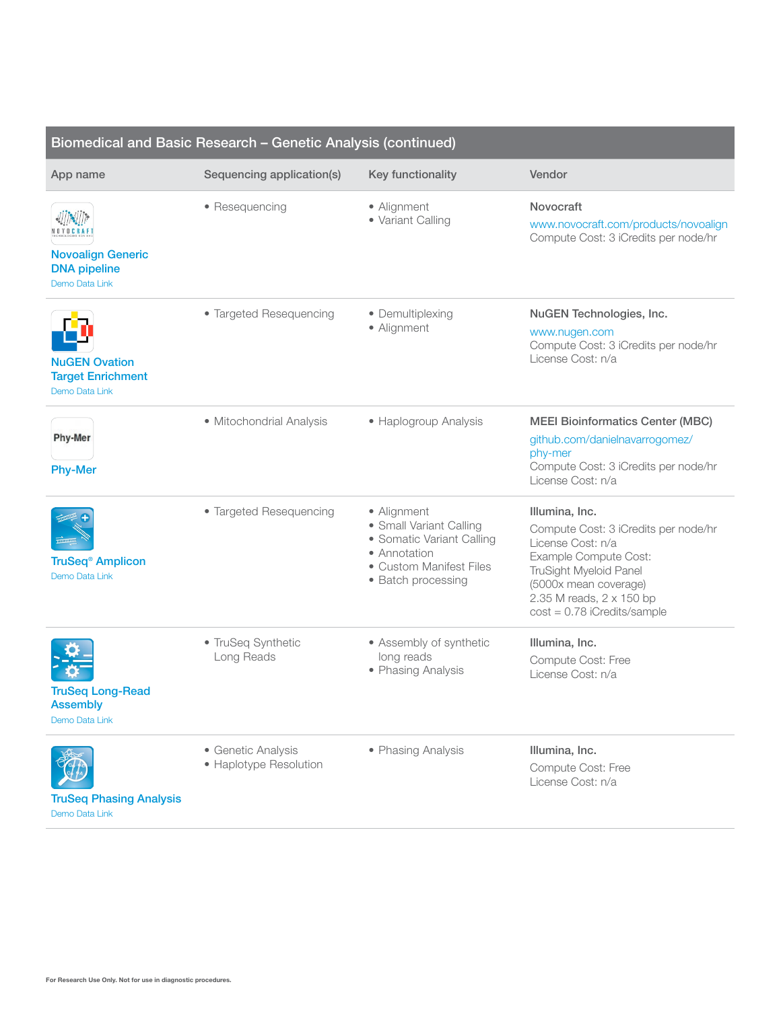| Biomedical and Basic Research - Genetic Analysis (continued)       |                                              |                                                                                                                                      |                                                                                                                                                                                                                      |  |
|--------------------------------------------------------------------|----------------------------------------------|--------------------------------------------------------------------------------------------------------------------------------------|----------------------------------------------------------------------------------------------------------------------------------------------------------------------------------------------------------------------|--|
| App name                                                           | Sequencing application(s)                    | Key functionality                                                                                                                    | Vendor                                                                                                                                                                                                               |  |
| <b>Novoalign Generic</b><br><b>DNA</b> pipeline<br>Demo Data Link  | • Resequencing                               | • Alignment<br>· Variant Calling                                                                                                     | Novocraft<br>www.novocraft.com/products/novoalign<br>Compute Cost: 3 iCredits per node/hr                                                                                                                            |  |
| <b>NuGEN Ovation</b><br><b>Target Enrichment</b><br>Demo Data Link | • Targeted Resequencing                      | • Demultiplexing<br>• Alignment                                                                                                      | NuGEN Technologies, Inc.<br>www.nugen.com<br>Compute Cost: 3 iCredits per node/hr<br>License Cost: n/a                                                                                                               |  |
| Phy-Mer<br><b>Phy-Mer</b>                                          | · Mitochondrial Analysis                     | • Haplogroup Analysis                                                                                                                | <b>MEEI Bioinformatics Center (MBC)</b><br>github.com/danielnavarrogomez/<br>phy-mer<br>Compute Cost: 3 iCredits per node/hr<br>License Cost: n/a                                                                    |  |
| <b>TruSeq<sup>®</sup> Amplicon</b><br>Demo Data Link               | • Targeted Resequencing                      | • Alignment<br>• Small Variant Calling<br>• Somatic Variant Calling<br>• Annotation<br>• Custom Manifest Files<br>• Batch processing | Illumina, Inc.<br>Compute Cost: 3 iCredits per node/hr<br>License Cost: n/a<br>Example Compute Cost:<br>TruSight Myeloid Panel<br>(5000x mean coverage)<br>2.35 M reads, 2 x 150 bp<br>$cost = 0.78$ iCredits/sample |  |
| <b>TruSeg Long-Read</b><br><b>Assembly</b><br>Demo Data Link       | • TruSeq Synthetic<br>Long Reads             | • Assembly of synthetic<br>long reads<br>• Phasing Analysis                                                                          | Illumina, Inc.<br>Compute Cost: Free<br>License Cost: n/a                                                                                                                                                            |  |
| <b>TruSeq Phasing Analysis</b><br>Demo Data Link                   | • Genetic Analysis<br>• Haplotype Resolution | • Phasing Analysis                                                                                                                   | Illumina, Inc.<br>Compute Cost: Free<br>License Cost: n/a                                                                                                                                                            |  |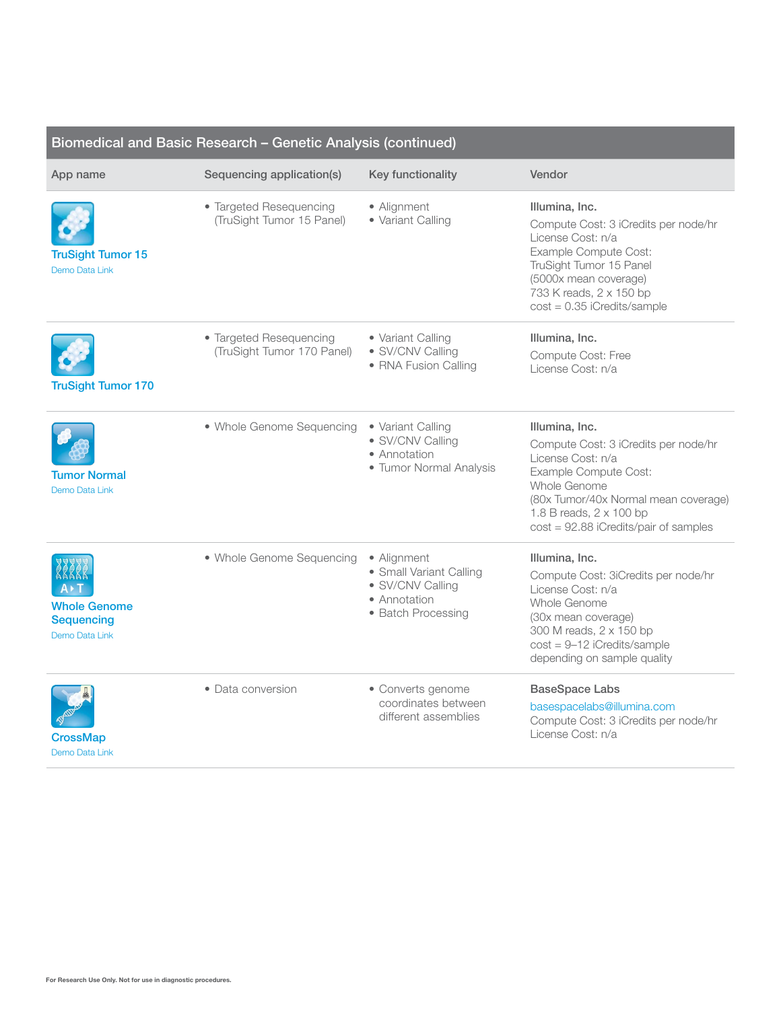| Biomedical and Basic Research - Genetic Analysis (continued) |                                                       |                                                                                                  |                                                                                                                                                                                                                                    |
|--------------------------------------------------------------|-------------------------------------------------------|--------------------------------------------------------------------------------------------------|------------------------------------------------------------------------------------------------------------------------------------------------------------------------------------------------------------------------------------|
| App name                                                     | Sequencing application(s)                             | Key functionality                                                                                | Vendor                                                                                                                                                                                                                             |
| <b>TruSight Tumor 15</b><br>Demo Data Link                   | • Targeted Resequencing<br>(TruSight Tumor 15 Panel)  | • Alignment<br>· Variant Calling                                                                 | Illumina, Inc.<br>Compute Cost: 3 iCredits per node/hr<br>License Cost: n/a<br>Example Compute Cost:<br>TruSight Tumor 15 Panel<br>(5000x mean coverage)<br>733 K reads, 2 x 150 bp<br>$cost = 0.35$ iCredits/sample               |
| <b>TruSight Tumor 170</b>                                    | • Targeted Resequencing<br>(TruSight Tumor 170 Panel) | • Variant Calling<br>· SV/CNV Calling<br>• RNA Fusion Calling                                    | Illumina, Inc.<br>Compute Cost: Free<br>License Cost: n/a                                                                                                                                                                          |
| Tumor Normal<br>Demo Data Link                               | • Whole Genome Sequencing                             | • Variant Calling<br>· SV/CNV Calling<br>• Annotation<br>• Tumor Normal Analysis                 | Illumina, Inc.<br>Compute Cost: 3 iCredits per node/hr<br>License Cost: n/a<br>Example Compute Cost:<br>Whole Genome<br>(80x Tumor/40x Normal mean coverage)<br>1.8 B reads, 2 x 100 bp<br>$cost = 92.88$ iCredits/pair of samples |
| <b>Whole Genome</b><br><b>Sequencing</b><br>Demo Data Link   | • Whole Genome Sequencing                             | • Alignment<br>• Small Variant Calling<br>· SV/CNV Calling<br>• Annotation<br>• Batch Processing | Illumina, Inc.<br>Compute Cost: 3iCredits per node/hr<br>License Cost: n/a<br>Whole Genome<br>(30x mean coverage)<br>300 M reads, 2 x 150 bp<br>$cost = 9-12$ iCredits/sample<br>depending on sample quality                       |
| CrossMap<br>Demo Data Link                                   | • Data conversion                                     | • Converts genome<br>coordinates between<br>different assemblies                                 | <b>BaseSpace Labs</b><br>basespacelabs@illumina.com<br>Compute Cost: 3 iCredits per node/hr<br>License Cost: n/a                                                                                                                   |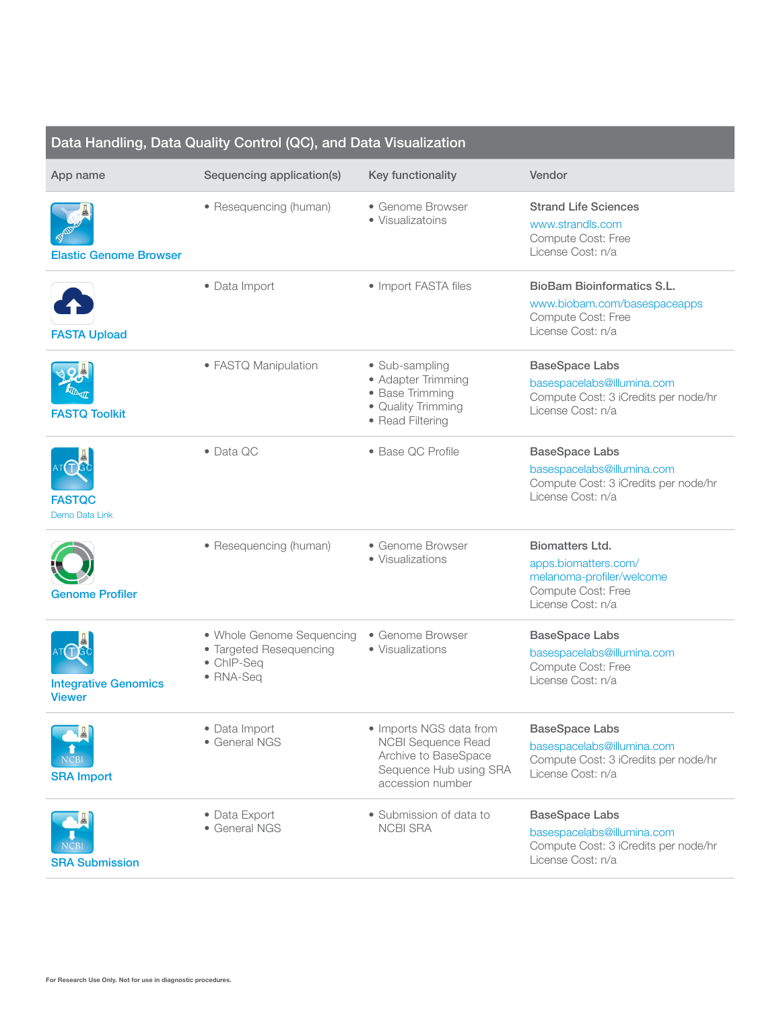| Data Handling, Data Quality Control (QC), and Data Visualization |                                                                                 |                                                                                                                            |                                                                                                                        |
|------------------------------------------------------------------|---------------------------------------------------------------------------------|----------------------------------------------------------------------------------------------------------------------------|------------------------------------------------------------------------------------------------------------------------|
| App name                                                         | Sequencing application(s)                                                       | Key functionality                                                                                                          | Vendor                                                                                                                 |
| <b>Elastic Genome Browser</b>                                    | • Resequencing (human)                                                          | • Genome Browser<br>• Visualizatoins                                                                                       | <b>Strand Life Sciences</b><br>www.strandls.com<br>Compute Cost: Free<br>License Cost: n/a                             |
| <b>FASTA Upload</b>                                              | · Data Import                                                                   | • Import FASTA files                                                                                                       | <b>BioBam Bioinformatics S.L.</b><br>www.biobam.com/basespaceapps<br>Compute Cost: Free<br>License Cost: n/a           |
| <b>FASTQ Toolkit</b>                                             | • FASTQ Manipulation                                                            | • Sub-sampling<br>• Adapter Trimming<br>• Base Trimming<br>• Quality Trimming<br>• Read Filtering                          | <b>BaseSpace Labs</b><br>basespacelabs@illumina.com<br>Compute Cost: 3 iCredits per node/hr<br>License Cost: n/a       |
| <b>FASTQC</b><br>Demo Data Link                                  | $\bullet$ Data QC                                                               | • Base QC Profile                                                                                                          | <b>BaseSpace Labs</b><br>basespacelabs@illumina.com<br>Compute Cost: 3 iCredits per node/hr<br>License Cost: n/a       |
| Genome Profiler                                                  | • Resequencing (human)                                                          | • Genome Browser<br>• Visualizations                                                                                       | <b>Biomatters Ltd.</b><br>apps.biomatters.com/<br>melanoma-profiler/welcome<br>Compute Cost: Free<br>License Cost: n/a |
| <b>Integrative Genomics</b><br><b>Viewer</b>                     | • Whole Genome Sequencing<br>• Targeted Resequencing<br>• ChIP-Seq<br>• RNA-Seq | • Genome Browser<br>• Visualizations                                                                                       | <b>BaseSpace Labs</b><br>basespacelabs@illumina.com<br>Compute Cost: Free<br>License Cost: n/a                         |
| <b>SRA Import</b>                                                | · Data Import<br>• General NGS                                                  | • Imports NGS data from<br><b>NCBI Sequence Read</b><br>Archive to BaseSpace<br>Sequence Hub using SRA<br>accession number | <b>BaseSpace Labs</b><br>basespacelabs@illumina.com<br>Compute Cost: 3 iCredits per node/hr<br>License Cost: n/a       |
| <b>SRA Submission</b>                                            | • Data Export<br>• General NGS                                                  | • Submission of data to<br><b>NCBI SRA</b>                                                                                 | <b>BaseSpace Labs</b><br>basespacelabs@illumina.com<br>Compute Cost: 3 iCredits per node/hr<br>License Cost: n/a       |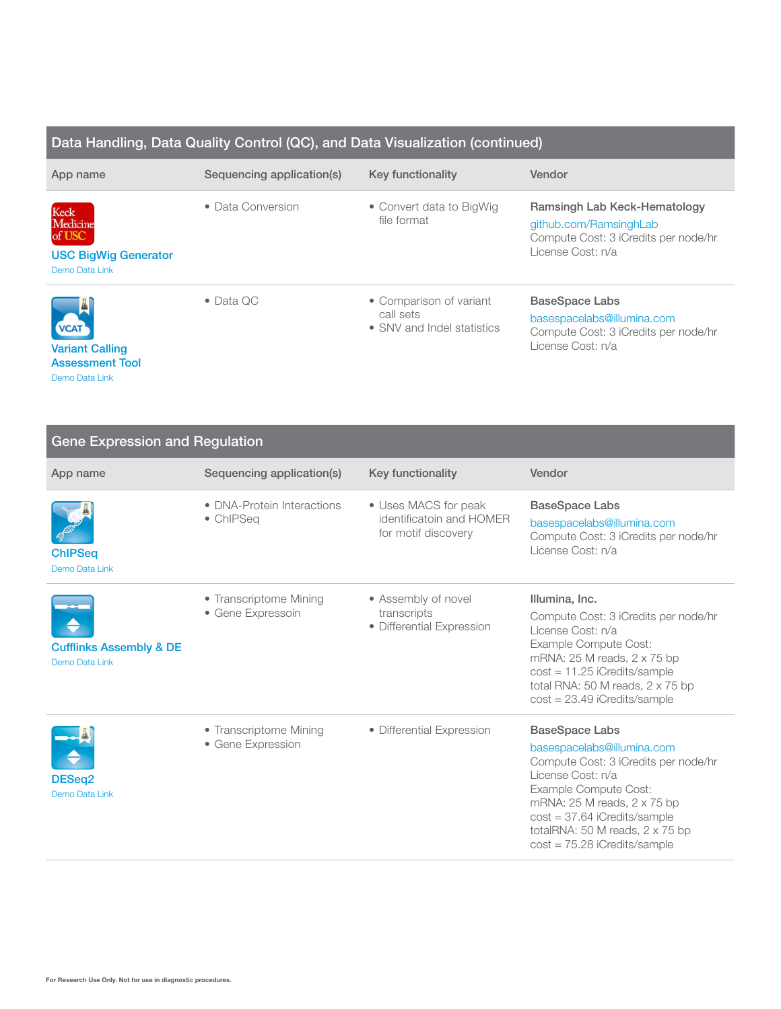## Data Handling, Data Quality Control (QC), and Data Visualization (continued)

| App name                                                                         | Sequencing application(s) | Key functionality                                                  | Vendor                                                                                                              |
|----------------------------------------------------------------------------------|---------------------------|--------------------------------------------------------------------|---------------------------------------------------------------------------------------------------------------------|
| Keck<br>Medicine<br>of USC<br><b>USC BigWig Generator</b><br>Demo Data Link      | • Data Conversion         | • Convert data to BigWig<br>file format                            | Ramsingh Lab Keck-Hematology<br>github.com/RamsinghLab<br>Compute Cost: 3 iCredits per node/hr<br>License Cost: n/a |
| $\frac{1}{2}$<br><b>VCAT</b><br><b>Variant Calling</b><br><b>Assessment Tool</b> | $\bullet$ Data QC         | • Comparison of variant<br>call sets<br>• SNV and Indel statistics | <b>BaseSpace Labs</b><br>basespacelabs@illumina.com<br>Compute Cost: 3 iCredits per node/hr<br>License Cost: n/a    |

[Demo Data Link](https://basespace.illumina.com/s/J62DJw20qiXZ)

| <b>Gene Expression and Regulation</b>                |                                             |                                                                         |                                                                                                                                                                                                                                                      |  |
|------------------------------------------------------|---------------------------------------------|-------------------------------------------------------------------------|------------------------------------------------------------------------------------------------------------------------------------------------------------------------------------------------------------------------------------------------------|--|
| App name                                             | Sequencing application(s)                   | Key functionality                                                       | Vendor                                                                                                                                                                                                                                               |  |
| <b>ChIPSeq</b><br>Demo Data Link                     | • DNA-Protein Interactions<br>• ChIPSeq     | • Uses MACS for peak<br>identificatoin and HOMER<br>for motif discovery | <b>BaseSpace Labs</b><br>basespacelabs@illumina.com<br>Compute Cost: 3 iCredits per node/hr<br>License Cost: n/a                                                                                                                                     |  |
| <b>Cufflinks Assembly &amp; DE</b><br>Demo Data Link | • Transcriptome Mining<br>• Gene Expressoin | • Assembly of novel<br>transcripts<br>• Differential Expression         | Illumina, Inc.<br>Compute Cost: 3 iCredits per node/hr<br>License Cost: n/a<br>Example Compute Cost:<br>mRNA: $25$ M reads, $2 \times 75$ bp<br>$cost = 11.25$ iCredits/sample<br>total RNA: 50 M reads, 2 x 75 bp<br>$cost = 23.49$ iCredits/sample |  |
| DESeq2<br>Demo Data Link                             | • Transcriptome Mining<br>• Gene Expression | • Differential Expression                                               | <b>BaseSpace Labs</b><br>basespacelabs@illumina.com<br>Compute Cost: 3 iCredits per node/hr<br>License Cost: n/a<br>Example Compute Cost:<br>mRNA: 25 M reads, 2 x 75 bp<br>$cost = 37.64$ iCredits/sample<br>totalRNA: 50 M reads, $2 \times 75$ bp |  |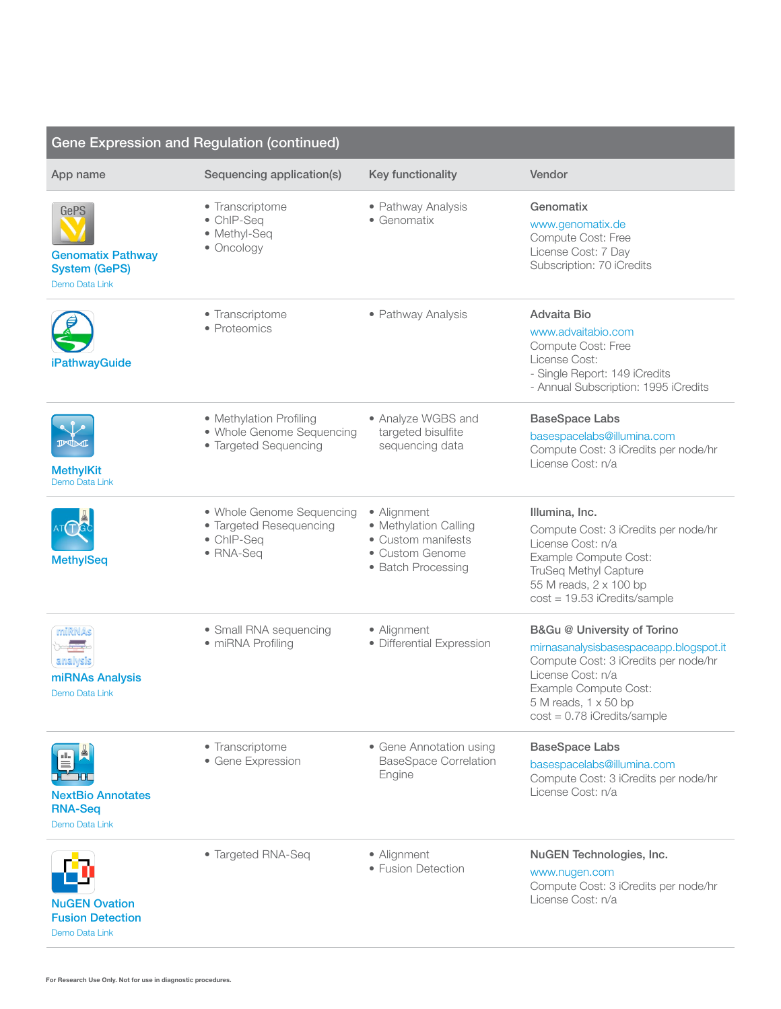| <b>Gene Expression and Regulation (continued)</b>                                 |                                                                                 |                                                                                                     |                                                                                                                                                                                                                      |
|-----------------------------------------------------------------------------------|---------------------------------------------------------------------------------|-----------------------------------------------------------------------------------------------------|----------------------------------------------------------------------------------------------------------------------------------------------------------------------------------------------------------------------|
| App name                                                                          | Sequencing application(s)                                                       | Key functionality                                                                                   | Vendor                                                                                                                                                                                                               |
| <b>GePS</b><br><b>Genomatix Pathway</b><br><b>System (GePS)</b><br>Demo Data Link | • Transcriptome<br>• ChIP-Seq<br>• Methyl-Seq<br>• Oncology                     | • Pathway Analysis<br>• Genomatix                                                                   | Genomatix<br>www.genomatix.de<br>Compute Cost: Free<br>License Cost: 7 Day<br>Subscription: 70 iCredits                                                                                                              |
| <b>iPathwayGuide</b>                                                              | • Transcriptome<br>• Proteomics                                                 | • Pathway Analysis                                                                                  | Advaita Bio<br>www.advaitabio.com<br>Compute Cost: Free<br>License Cost:<br>- Single Report: 149 iCredits<br>- Annual Subscription: 1995 iCredits                                                                    |
| $\mathbb{P}\mathbb{D}$<br><b>MethylKit</b><br>Demo Data Link                      | • Methylation Profiling<br>• Whole Genome Sequencing<br>• Targeted Sequencing   | • Analyze WGBS and<br>targeted bisulfite<br>sequencing data                                         | <b>BaseSpace Labs</b><br>basespacelabs@illumina.com<br>Compute Cost: 3 iCredits per node/hr<br>License Cost: n/a                                                                                                     |
| <b>MethylSeq</b>                                                                  | • Whole Genome Sequencing<br>• Targeted Resequencing<br>• ChIP-Seq<br>• RNA-Seq | • Alignment<br>• Methylation Calling<br>• Custom manifests<br>• Custom Genome<br>• Batch Processing | Illumina, Inc.<br>Compute Cost: 3 iCredits per node/hr<br>License Cost: n/a<br>Example Compute Cost:<br>TruSeq Methyl Capture<br>55 M reads, 2 x 100 bp<br>$cost = 19.53$ iCredits/sample                            |
| miRNAs<br>analysis<br>miRNAs Analysis<br>Demo Data Link                           | • Small RNA sequencing<br>• miRNA Profiling                                     | • Alignment<br>· Differential Expression                                                            | B&Gu @ University of Torino<br>mirnasanalysisbasespaceapp.blogspot.it<br>Compute Cost: 3 iCredits per node/hr<br>License Cost: n/a<br>Example Compute Cost:<br>5 M reads, 1 x 50 bp<br>$cost = 0.78$ iCredits/sample |
| <b>NextBio Annotates</b><br><b>RNA-Seq</b><br>Demo Data Link                      | • Transcriptome<br>• Gene Expression                                            | • Gene Annotation using<br><b>BaseSpace Correlation</b><br>Engine                                   | <b>BaseSpace Labs</b><br>basespacelabs@illumina.com<br>Compute Cost: 3 iCredits per node/hr<br>License Cost: n/a                                                                                                     |
| <b>NuGEN Ovation</b><br><b>Fusion Detection</b>                                   | • Targeted RNA-Seq                                                              | • Alignment<br>• Fusion Detection                                                                   | NuGEN Technologies, Inc.<br>www.nugen.com<br>Compute Cost: 3 iCredits per node/hr<br>License Cost: n/a                                                                                                               |

[Demo Data Link](https://basespace.illumina.com/s/v0o6b9Il2eIe)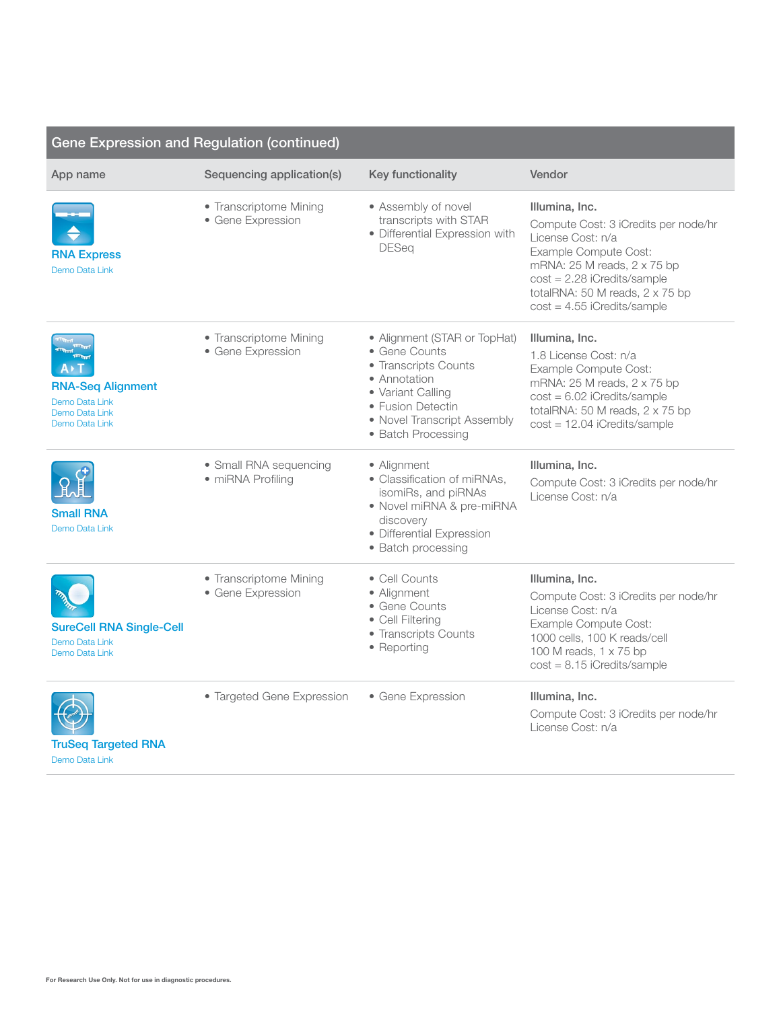| <b>Gene Expression and Regulation (continued)</b>                              |                                             |                                                                                                                                                                                      |                                                                                                                                                                                                                                          |
|--------------------------------------------------------------------------------|---------------------------------------------|--------------------------------------------------------------------------------------------------------------------------------------------------------------------------------------|------------------------------------------------------------------------------------------------------------------------------------------------------------------------------------------------------------------------------------------|
| App name                                                                       | Sequencing application(s)                   | Key functionality                                                                                                                                                                    | Vendor                                                                                                                                                                                                                                   |
| <b>RNA Express</b><br>Demo Data Link                                           | • Transcriptome Mining<br>• Gene Expression | • Assembly of novel<br>transcripts with STAR<br>· Differential Expression with<br><b>DESeq</b>                                                                                       | Illumina, Inc.<br>Compute Cost: 3 iCredits per node/hr<br>License Cost: n/a<br>Example Compute Cost:<br>mRNA: 25 M reads, 2 x 75 bp<br>$cost = 2.28$ iCredits/sample<br>totalRNA: 50 M reads, 2 x 75 bp<br>$cost = 4.55$ iCredits/sample |
| <b>RNA-Seq Alignment</b><br>Demo Data Link<br>Demo Data Link<br>Demo Data Link | • Transcriptome Mining<br>• Gene Expression | • Alignment (STAR or TopHat)<br>• Gene Counts<br>• Transcripts Counts<br>• Annotation<br>• Variant Calling<br>• Fusion Detectin<br>• Novel Transcript Assembly<br>• Batch Processing | Illumina, Inc.<br>1.8 License Cost: n/a<br>Example Compute Cost:<br>mRNA: 25 M reads, 2 x 75 bp<br>$cost = 6.02$ iCredits/sample<br>totalRNA: 50 M reads, 2 x 75 bp<br>cost = 12.04 iCredits/sample                                      |
| <b>Small RNA</b><br>Demo Data Link                                             | • Small RNA sequencing<br>• miRNA Profiling | • Alignment<br>• Classification of miRNAs,<br>isomiRs, and piRNAs<br>• Novel miRNA & pre-miRNA<br>discovery<br>· Differential Expression<br>• Batch processing                       | Illumina, Inc.<br>Compute Cost: 3 iCredits per node/hr<br>License Cost: n/a                                                                                                                                                              |
| <b>SureCell RNA Single-Cell</b><br>Demo Data Link<br>Demo Data Link            | • Transcriptome Mining<br>• Gene Expression | • Cell Counts<br>• Alignment<br>• Gene Counts<br>• Cell Filtering<br>• Transcripts Counts<br>• Reporting                                                                             | Illumina, Inc.<br>Compute Cost: 3 iCredits per node/hr<br>License Cost: n/a<br>Example Compute Cost:<br>1000 cells, 100 K reads/cell<br>100 M reads, 1 x 75 bp<br>$cost = 8.15$ iCredits/sample                                          |
| <b>TruSeq Targeted RNA</b><br>Demo Data Link                                   | • Targeted Gene Expression                  | • Gene Expression                                                                                                                                                                    | Illumina, Inc.<br>Compute Cost: 3 iCredits per node/hr<br>License Cost: n/a                                                                                                                                                              |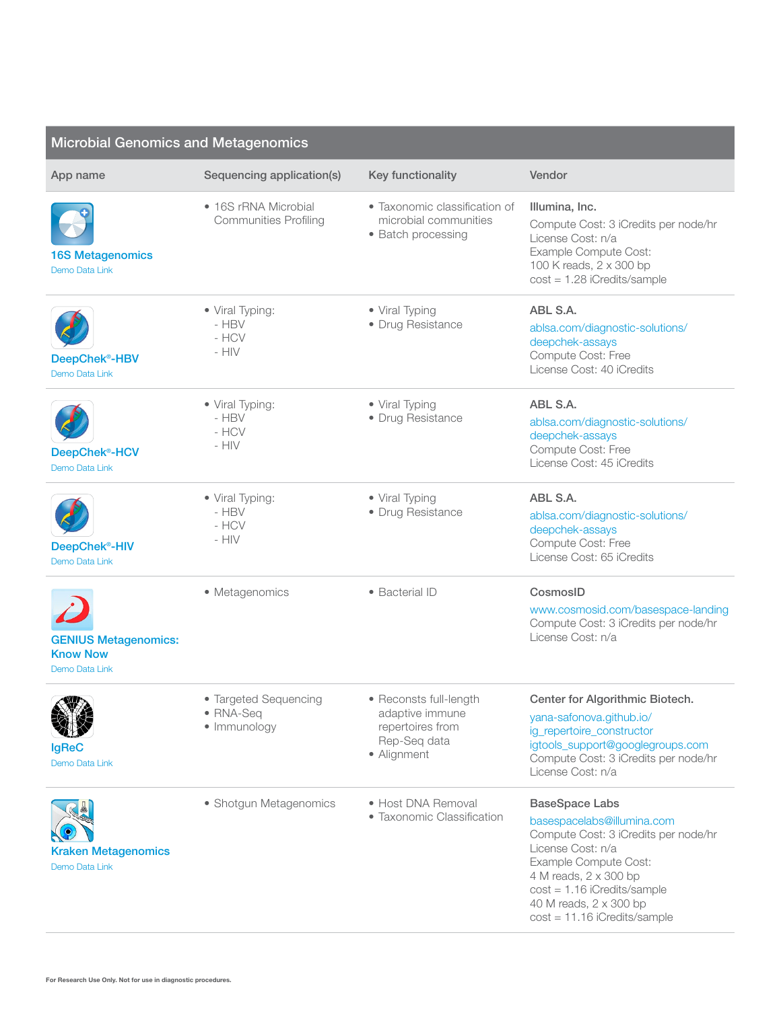| <b>Microbial Genomics and Metagenomics</b>                       |                                                         |                                                                                              |                                                                                                                                                                                                                                                                 |
|------------------------------------------------------------------|---------------------------------------------------------|----------------------------------------------------------------------------------------------|-----------------------------------------------------------------------------------------------------------------------------------------------------------------------------------------------------------------------------------------------------------------|
| App name                                                         | Sequencing application(s)                               | Key functionality                                                                            | Vendor                                                                                                                                                                                                                                                          |
| <b>16S Metagenomics</b><br>Demo Data Link                        | • 16S rRNA Microbial<br><b>Communities Profiling</b>    | • Taxonomic classification of<br>microbial communities<br>• Batch processing                 | Illumina, Inc.<br>Compute Cost: 3 iCredits per node/hr<br>License Cost: n/a<br>Example Compute Cost:<br>100 K reads, 2 x 300 bp<br>$cost = 1.28$ iCredits/sample                                                                                                |
| DeepChek <sup>®</sup> -HBV<br>Demo Data Link                     | • Viral Typing:<br>- $\mathsf{HBV}$<br>- HCV<br>$-$ HIV | • Viral Typing<br>• Drug Resistance                                                          | ABL S.A.<br>ablsa.com/diagnostic-solutions/<br>deepchek-assays<br>Compute Cost: Free<br>License Cost: 40 iCredits                                                                                                                                               |
| DeepChek <sup>®</sup> -HCV<br>Demo Data Link                     | • Viral Typing:<br>$-$ HBV<br>- HCV<br>$-$ HIV          | • Viral Typing<br>• Drug Resistance                                                          | ABL S.A.<br>ablsa.com/diagnostic-solutions/<br>deepchek-assays<br>Compute Cost: Free<br>License Cost: 45 iCredits                                                                                                                                               |
| DeepChek <sup>®</sup> -HIV<br>Demo Data Link                     | • Viral Typing:<br>$-$ HBV<br>- HCV<br>- $HIV$          | • Viral Typing<br>• Drug Resistance                                                          | ABL S.A.<br>ablsa.com/diagnostic-solutions/<br>deepchek-assays<br>Compute Cost: Free<br>License Cost: 65 iCredits                                                                                                                                               |
| <b>GENIUS Metagenomics:</b><br><b>Know Now</b><br>Demo Data Link | • Metagenomics                                          | • Bacterial ID                                                                               | CosmosID<br>www.cosmosid.com/basespace-landing<br>Compute Cost: 3 iCredits per node/hr<br>License Cost: n/a                                                                                                                                                     |
| <b>ANTIA</b><br>IgReC<br>Demo Data Link                          | • Targeted Sequencing<br>• RNA-Sea<br>· Immunology      | • Reconsts full-length<br>adaptive immune<br>repertoires from<br>Rep-Seq data<br>• Alignment | Center for Algorithmic Biotech.<br>yana-safonova.github.io/<br>ig_repertoire_constructor<br>igtools_support@googlegroups.com<br>Compute Cost: 3 iCredits per node/hr<br>License Cost: n/a                                                                       |
| <b>Kraken Metagenomics</b><br>Demo Data Link                     | • Shotgun Metagenomics                                  | • Host DNA Removal<br>• Taxonomic Classification                                             | <b>BaseSpace Labs</b><br>basespacelabs@illumina.com<br>Compute Cost: 3 iCredits per node/hr<br>License Cost: n/a<br>Example Compute Cost:<br>4 M reads, 2 x 300 bp<br>$cost = 1.16$ iCredits/sample<br>40 M reads, 2 x 300 bp<br>$cost = 11.16$ iCredits/sample |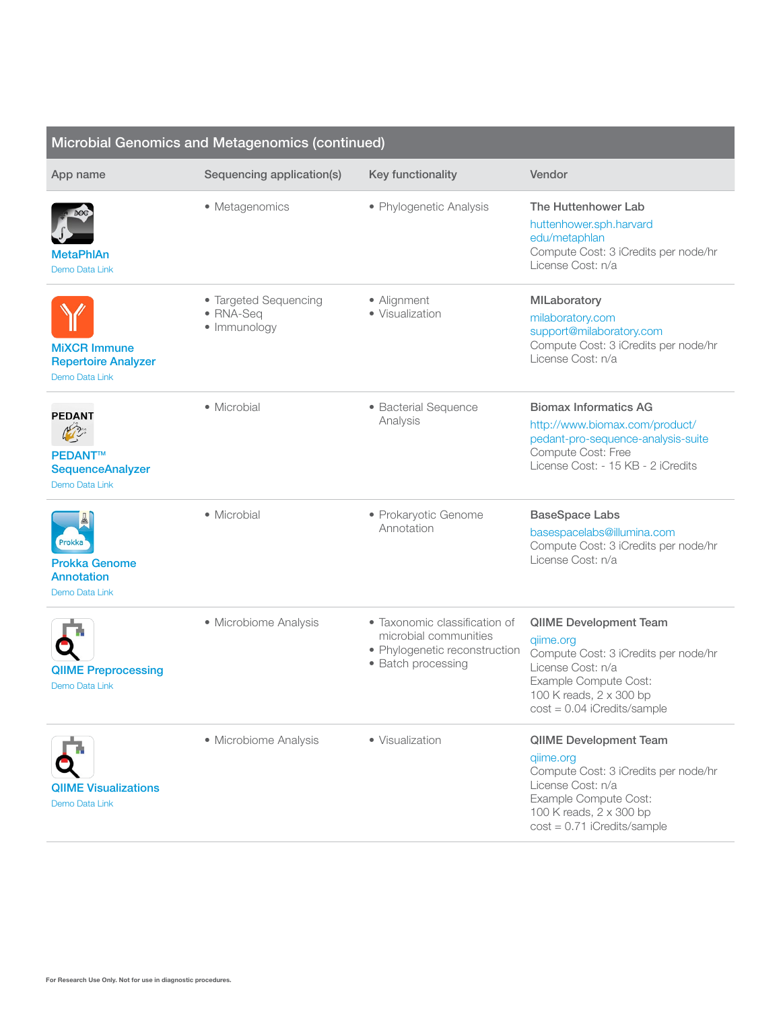| Microbial Genomics and Metagenomics (continued)                              |                                                    |                                                                                                               |                                                                                                                                                                                              |
|------------------------------------------------------------------------------|----------------------------------------------------|---------------------------------------------------------------------------------------------------------------|----------------------------------------------------------------------------------------------------------------------------------------------------------------------------------------------|
| App name                                                                     | Sequencing application(s)                          | Key functionality                                                                                             | Vendor                                                                                                                                                                                       |
| MetaPhIAn<br>Demo Data Link                                                  | • Metagenomics                                     | • Phylogenetic Analysis                                                                                       | The Huttenhower Lab<br>huttenhower.sph.harvard<br>edu/metaphlan<br>Compute Cost: 3 iCredits per node/hr<br>License Cost: n/a                                                                 |
| <b>MiXCR Immune</b><br><b>Repertoire Analyzer</b><br>Demo Data Link          | • Targeted Sequencing<br>• RNA-Seq<br>· Immunology | • Alignment<br>· Visualization                                                                                | MILaboratory<br>milaboratory.com<br>support@milaboratory.com<br>Compute Cost: 3 iCredits per node/hr<br>License Cost: n/a                                                                    |
| <b>PEDANT</b><br><b>PEDANT™</b><br><b>SequenceAnalyzer</b><br>Demo Data Link | • Microbial                                        | · Bacterial Sequence<br>Analysis                                                                              | <b>Biomax Informatics AG</b><br>http://www.biomax.com/product/<br>pedant-pro-sequence-analysis-suite<br>Compute Cost: Free<br>License Cost: - 15 KB - 2 iCredits                             |
| Prokka<br><b>Prokka Genome</b><br>Annotation<br>Demo Data Link               | • Microbial                                        | • Prokaryotic Genome<br>Annotation                                                                            | <b>BaseSpace Labs</b><br>basespacelabs@illumina.com<br>Compute Cost: 3 iCredits per node/hr<br>License Cost: n/a                                                                             |
| <b>QIIME Preprocessing</b><br>Demo Data Link                                 | • Microbiome Analysis                              | • Taxonomic classification of<br>microbial communities<br>• Phylogenetic reconstruction<br>• Batch processing | <b>QIIME Development Team</b><br>qiime.org<br>Compute Cost: 3 iCredits per node/hr<br>License Cost: n/a<br>Example Compute Cost:<br>100 K reads, 2 x 300 bp<br>$cost = 0.04$ iCredits/sample |
| <b>QIIME Visualizations</b><br>Demo Data Link                                | • Microbiome Analysis                              | • Visualization                                                                                               | QIIME Development Team<br>qiime.org<br>Compute Cost: 3 iCredits per node/hr<br>License Cost: n/a<br>Example Compute Cost:<br>100 K reads, 2 x 300 bp<br>$cost = 0.71$ iCredits/sample        |

## For Research Use Only. Not for use in diagnostic procedures.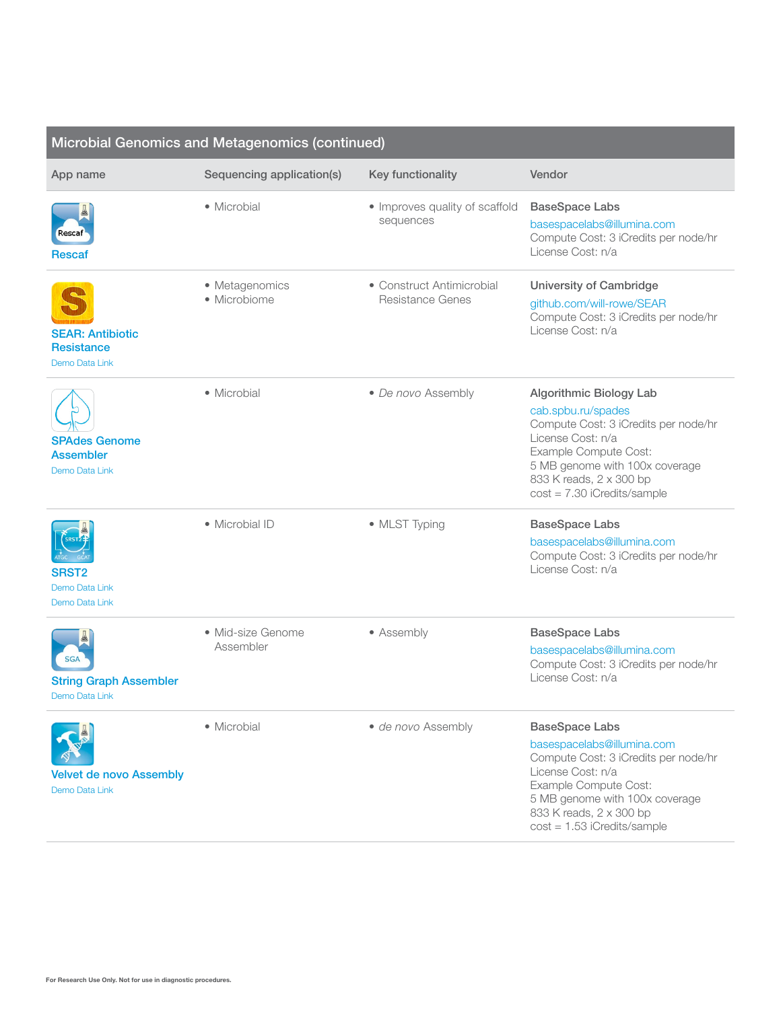| Microbial Genomics and Metagenomics (continued)                |                                |                                                      |                                                                                                                                                                                                                                          |
|----------------------------------------------------------------|--------------------------------|------------------------------------------------------|------------------------------------------------------------------------------------------------------------------------------------------------------------------------------------------------------------------------------------------|
| App name                                                       | Sequencing application(s)      | Key functionality                                    | Vendor                                                                                                                                                                                                                                   |
| Rescaf<br><b>Rescaf</b>                                        | • Microbial                    | • Improves quality of scaffold<br>sequences          | <b>BaseSpace Labs</b><br>basespacelabs@illumina.com<br>Compute Cost: 3 iCredits per node/hr<br>License Cost: n/a                                                                                                                         |
| <b>SEAR: Antibiotic</b><br><b>Resistance</b><br>Demo Data Link | • Metagenomics<br>· Microbiome | • Construct Antimicrobial<br><b>Resistance Genes</b> | University of Cambridge<br>github.com/will-rowe/SEAR<br>Compute Cost: 3 iCredits per node/hr<br>License Cost: n/a                                                                                                                        |
| <b>SPAdes Genome</b><br><b>Assembler</b><br>Demo Data Link     | • Microbial                    | • De novo Assembly                                   | <b>Algorithmic Biology Lab</b><br>cab.spbu.ru/spades<br>Compute Cost: 3 iCredits per node/hr<br>License Cost: n/a<br>Example Compute Cost:<br>5 MB genome with 100x coverage<br>833 K reads, 2 x 300 bp<br>$cost = 7.30$ iCredits/sample |
| <b>SRST2</b><br>Demo Data Link<br>Demo Data Link               | • Microbial ID                 | • MLST Typing                                        | <b>BaseSpace Labs</b><br>basespacelabs@illumina.com<br>Compute Cost: 3 iCredits per node/hr<br>License Cost: n/a                                                                                                                         |
| <b>SGA</b><br><b>String Graph Assembler</b><br>Demo Data Link  | • Mid-size Genome<br>Assembler | • Assembly                                           | <b>BaseSpace Labs</b><br>basespacelabs@illumina.com<br>Compute Cost: 3 iCredits per node/hr<br>License Cost: n/a                                                                                                                         |
| <b>Velvet de novo Assembly</b><br>Demo Data Link               | • Microbial                    | · de novo Assembly                                   | <b>BaseSpace Labs</b><br>basespacelabs@illumina.com<br>Compute Cost: 3 iCredits per node/hr<br>License Cost: n/a<br>Example Compute Cost:<br>5 MB genome with 100x coverage<br>833 K reads, 2 x 300 bp<br>$cost = 1.53$ iCredits/sample  |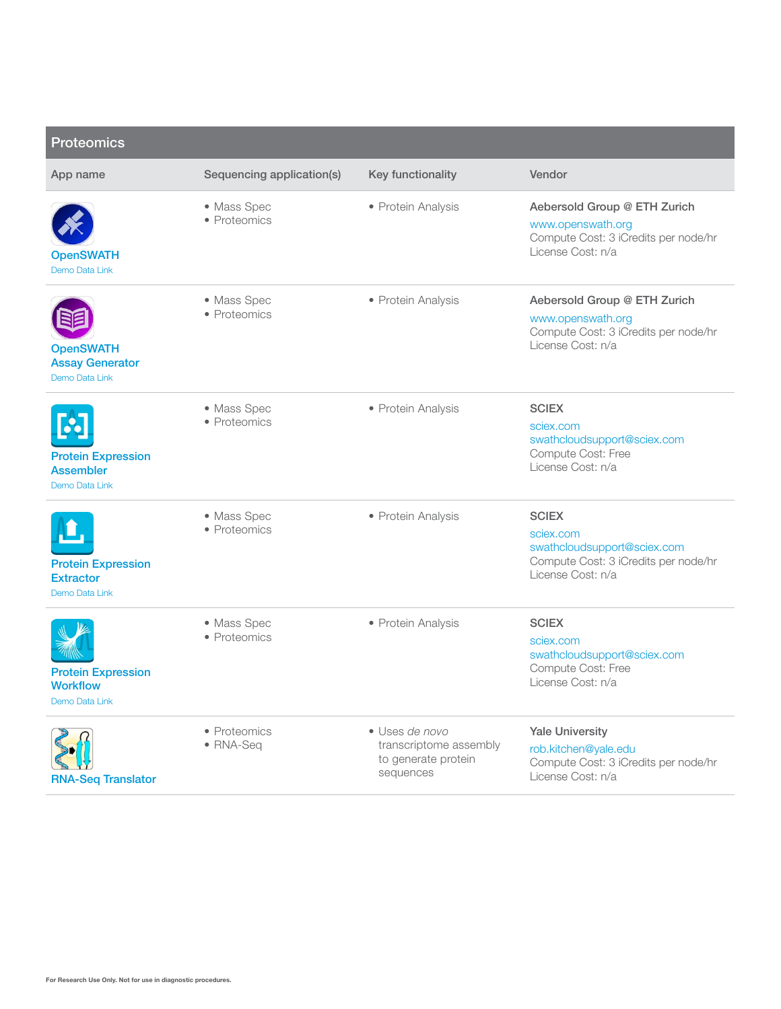| <b>Proteomics</b>                                               |                             |                                                                              |                                                                                                                       |
|-----------------------------------------------------------------|-----------------------------|------------------------------------------------------------------------------|-----------------------------------------------------------------------------------------------------------------------|
| App name                                                        | Sequencing application(s)   | Key functionality                                                            | Vendor                                                                                                                |
| <b>OpenSWATH</b><br>Demo Data Link                              | • Mass Spec<br>• Proteomics | • Protein Analysis                                                           | Aebersold Group @ ETH Zurich<br>www.openswath.org<br>Compute Cost: 3 iCredits per node/hr<br>License Cost: n/a        |
| <b>OpenSWATH</b><br><b>Assay Generator</b><br>Demo Data Link    | • Mass Spec<br>• Proteomics | • Protein Analysis                                                           | Aebersold Group @ ETH Zurich<br>www.openswath.org<br>Compute Cost: 3 iCredits per node/hr<br>License Cost: n/a        |
| <b>Protein Expression</b><br><b>Assembler</b><br>Demo Data Link | • Mass Spec<br>• Proteomics | • Protein Analysis                                                           | <b>SCIEX</b><br>sciex.com<br>swathcloudsupport@sciex.com<br>Compute Cost: Free<br>License Cost: n/a                   |
| <b>Protein Expression</b><br><b>Extractor</b><br>Demo Data Link | • Mass Spec<br>• Proteomics | • Protein Analysis                                                           | <b>SCIEX</b><br>sciex.com<br>swathcloudsupport@sciex.com<br>Compute Cost: 3 iCredits per node/hr<br>License Cost: n/a |
| <b>Protein Expression</b><br><b>Workflow</b><br>Demo Data Link  | • Mass Spec<br>• Proteomics | • Protein Analysis                                                           | <b>SCIEX</b><br>sciex.com<br>swathcloudsupport@sciex.com<br>Compute Cost: Free<br>License Cost: n/a                   |
| <b>RNA-Seq Translator</b>                                       | • Proteomics<br>• RNA-Seq   | · Uses de novo<br>transcriptome assembly<br>to generate protein<br>sequences | <b>Yale University</b><br>rob.kitchen@yale.edu<br>Compute Cost: 3 iCredits per node/hr<br>License Cost: n/a           |